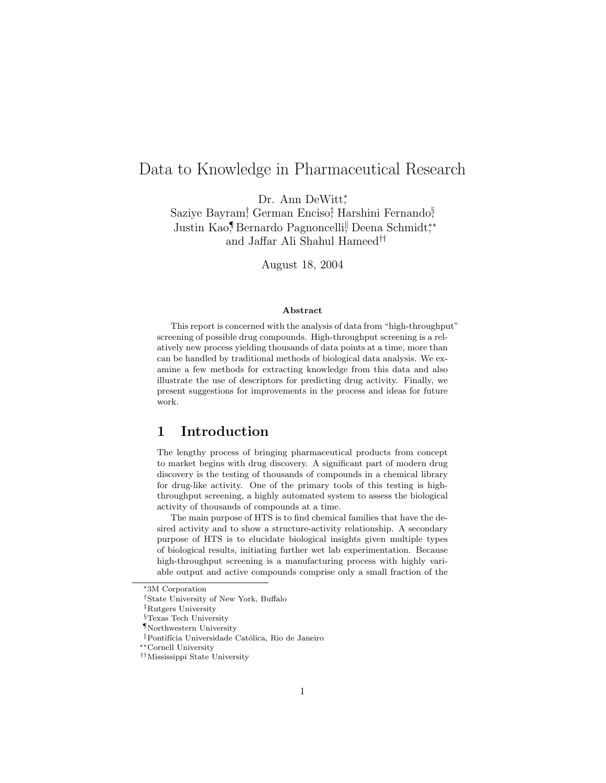# Data to Knowledge in Pharmaceutical Research

Dr. Ann DeWitt;

Saziye Bayram<sup>†</sup> German Enciso<sup>†</sup> Harshini Fernando<sup>§</sup> Justin Kao,¶Bernardo Pagnoncelli, Deena Schmidt,\* and Jaffar Ali Shahul Hameed††

August 18, 2004

#### Abstract

This report is concerned with the analysis of data from "high-throughput" screening of possible drug compounds. High-throughput screening is a relatively new process yielding thousands of data points at a time, more than can be handled by traditional methods of biological data analysis. We examine a few methods for extracting knowledge from this data and also illustrate the use of descriptors for predicting drug activity. Finally, we present suggestions for improvements in the process and ideas for future work.

# 1 Introduction

The lengthy process of bringing pharmaceutical products from concept to market begins with drug discovery. A significant part of modern drug discovery is the testing of thousands of compounds in a chemical library for drug-like activity. One of the primary tools of this testing is highthroughput screening, a highly automated system to assess the biological activity of thousands of compounds at a time.

The main purpose of HTS is to find chemical families that have the desired activity and to show a structure-activity relationship. A secondary purpose of HTS is to elucidate biological insights given multiple types of biological results, initiating further wet lab experimentation. Because high-throughput screening is a manufacturing process with highly variable output and active compounds comprise only a small fraction of the

<sup>∗</sup>3M Corporation

<sup>†</sup>State University of New York, Buffalo

<sup>‡</sup>Rutgers University

<sup>§</sup>Texas Tech University

<sup>¶</sup>Northwestern University

 $\mathbb I$ Pontifícia Universidade Católica, Rio de Janeiro

<sup>∗∗</sup>Cornell University

<sup>††</sup>Mississippi State University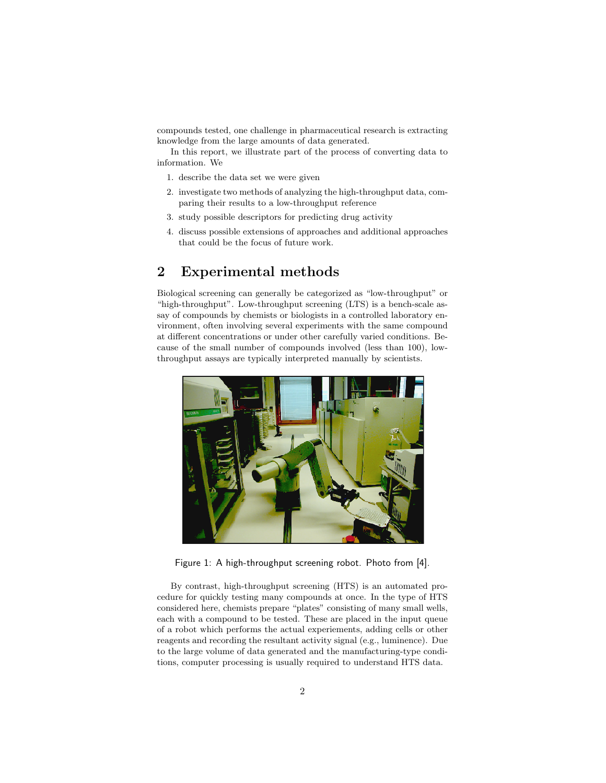compounds tested, one challenge in pharmaceutical research is extracting knowledge from the large amounts of data generated.

In this report, we illustrate part of the process of converting data to information. We

- 1. describe the data set we were given
- 2. investigate two methods of analyzing the high-throughput data, comparing their results to a low-throughput reference
- 3. study possible descriptors for predicting drug activity
- 4. discuss possible extensions of approaches and additional approaches that could be the focus of future work.

# 2 Experimental methods

Biological screening can generally be categorized as "low-throughput" or "high-throughput". Low-throughput screening (LTS) is a bench-scale assay of compounds by chemists or biologists in a controlled laboratory environment, often involving several experiments with the same compound at different concentrations or under other carefully varied conditions. Because of the small number of compounds involved (less than 100), lowthroughput assays are typically interpreted manually by scientists.



Figure 1: A high-throughput screening robot. Photo from [4].

By contrast, high-throughput screening (HTS) is an automated procedure for quickly testing many compounds at once. In the type of HTS considered here, chemists prepare "plates" consisting of many small wells, each with a compound to be tested. These are placed in the input queue of a robot which performs the actual experiements, adding cells or other reagents and recording the resultant activity signal (e.g., luminence). Due to the large volume of data generated and the manufacturing-type conditions, computer processing is usually required to understand HTS data.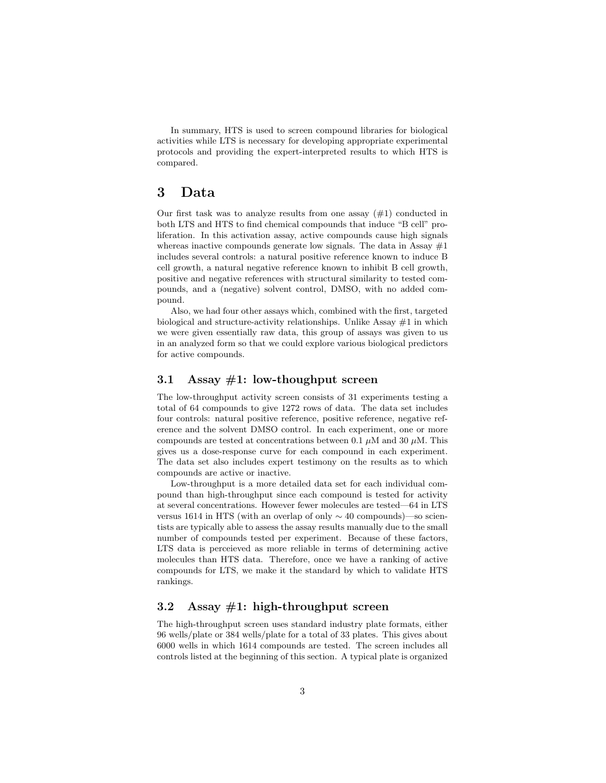In summary, HTS is used to screen compound libraries for biological activities while LTS is necessary for developing appropriate experimental protocols and providing the expert-interpreted results to which HTS is compared.

# 3 Data

Our first task was to analyze results from one assay  $(\#1)$  conducted in both LTS and HTS to find chemical compounds that induce "B cell" proliferation. In this activation assay, active compounds cause high signals whereas inactive compounds generate low signals. The data in Assay  $#1$ includes several controls: a natural positive reference known to induce B cell growth, a natural negative reference known to inhibit B cell growth, positive and negative references with structural similarity to tested compounds, and a (negative) solvent control, DMSO, with no added compound.

Also, we had four other assays which, combined with the first, targeted biological and structure-activity relationships. Unlike Assay  $#1$  in which we were given essentially raw data, this group of assays was given to us in an analyzed form so that we could explore various biological predictors for active compounds.

## 3.1 Assay  $#1$ : low-thoughput screen

The low-throughput activity screen consists of 31 experiments testing a total of 64 compounds to give 1272 rows of data. The data set includes four controls: natural positive reference, positive reference, negative reference and the solvent DMSO control. In each experiment, one or more compounds are tested at concentrations between 0.1  $\mu$ M and 30  $\mu$ M. This gives us a dose-response curve for each compound in each experiment. The data set also includes expert testimony on the results as to which compounds are active or inactive.

Low-throughput is a more detailed data set for each individual compound than high-throughput since each compound is tested for activity at several concentrations. However fewer molecules are tested—64 in LTS versus 1614 in HTS (with an overlap of only ∼ 40 compounds)—so scientists are typically able to assess the assay results manually due to the small number of compounds tested per experiment. Because of these factors, LTS data is perceieved as more reliable in terms of determining active molecules than HTS data. Therefore, once we have a ranking of active compounds for LTS, we make it the standard by which to validate HTS rankings.

## 3.2 Assay  $\#1$ : high-throughput screen

The high-throughput screen uses standard industry plate formats, either 96 wells/plate or 384 wells/plate for a total of 33 plates. This gives about 6000 wells in which 1614 compounds are tested. The screen includes all controls listed at the beginning of this section. A typical plate is organized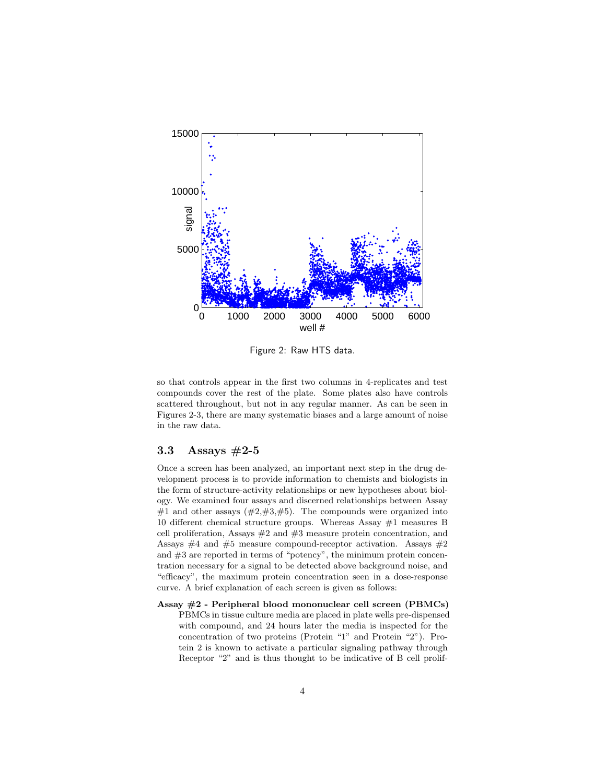

Figure 2: Raw HTS data.

so that controls appear in the first two columns in 4-replicates and test compounds cover the rest of the plate. Some plates also have controls scattered throughout, but not in any regular manner. As can be seen in Figures 2-3, there are many systematic biases and a large amount of noise in the raw data.

## 3.3 Assays #2-5

Once a screen has been analyzed, an important next step in the drug development process is to provide information to chemists and biologists in the form of structure-activity relationships or new hypotheses about biology. We examined four assays and discerned relationships between Assay #1 and other assays  $(\#2,\#3,\#5)$ . The compounds were organized into 10 different chemical structure groups. Whereas Assay #1 measures B cell proliferation, Assays  $#2$  and  $#3$  measure protein concentration, and Assays  $#4$  and  $#5$  measure compound-receptor activation. Assays  $#2$ and #3 are reported in terms of "potency", the minimum protein concentration necessary for a signal to be detected above background noise, and "efficacy", the maximum protein concentration seen in a dose-response curve. A brief explanation of each screen is given as follows:

Assay #2 - Peripheral blood mononuclear cell screen (PBMCs) PBMCs in tissue culture media are placed in plate wells pre-dispensed with compound, and 24 hours later the media is inspected for the concentration of two proteins (Protein "1" and Protein "2"). Protein 2 is known to activate a particular signaling pathway through Receptor "2" and is thus thought to be indicative of B cell prolif-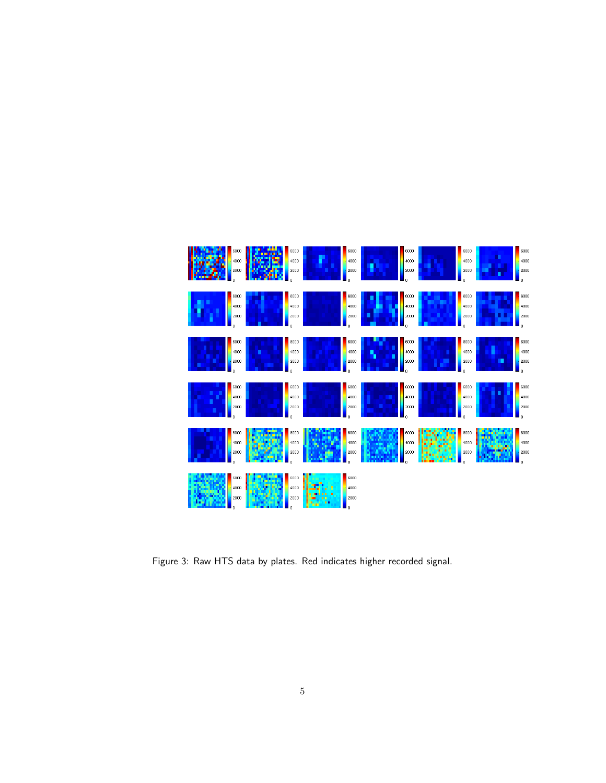

Figure 3: Raw HTS data by plates. Red indicates higher recorded signal.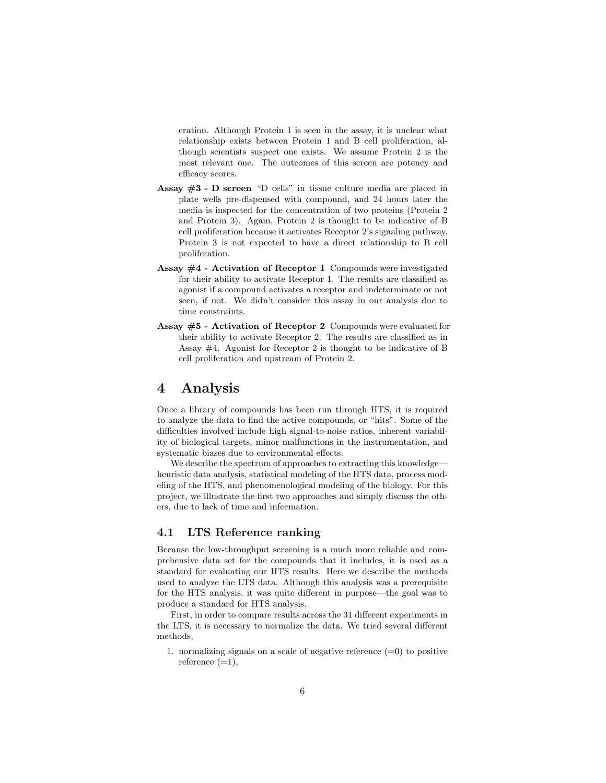eration. Although Protein 1 is seen in the assay, it is unclear what relationship exists between Protein 1 and B cell proliferation, although scientists suspect one exists. We assume Protein 2 is the most relevant one. The outcomes of this screen are potency and efficacy scores.

- Assay  $#3$  D screen "D cells" in tissue culture media are placed in plate wells pre-dispensed with compound, and 24 hours later the media is inspected for the concentration of two proteins (Protein 2 and Protein 3). Again, Protein 2 is thought to be indicative of B cell proliferation because it activates Receptor 2's signaling pathway. Protein 3 is not expected to have a direct relationship to B cell proliferation.
- Assay  $#4$  Activation of Receptor 1 Compounds were investigated for their ability to activate Receptor 1. The results are classified as agonist if a compound activates a receptor and indeterminate or not seen, if not. We didn't consider this assay in our analysis due to time constraints.
- Assay  $#5$  Activation of Receptor 2 Compounds were evaluated for their ability to activate Receptor 2. The results are classified as in Assay #4. Agonist for Receptor 2 is thought to be indicative of B cell proliferation and upstream of Protein 2.

# 4 Analysis

Once a library of compounds has been run through HTS, it is required to analyze the data to find the active compounds, or "hits". Some of the difficulties involved include high signal-to-noise ratios, inherent variability of biological targets, minor malfunctions in the instrumentation, and systematic biases due to environmental effects.

We describe the spectrum of approaches to extracting this knowledge heuristic data analysis, statistical modeling of the HTS data, process modeling of the HTS, and phenomenological modeling of the biology. For this project, we illustrate the first two approaches and simply discuss the others, due to lack of time and information.

## 4.1 LTS Reference ranking

Because the low-throughput screening is a much more reliable and comprehensive data set for the compounds that it includes, it is used as a standard for evaluating our HTS results. Here we describe the methods used to analyze the LTS data. Although this analysis was a prerequisite for the HTS analysis, it was quite different in purpose—the goal was to produce a standard for HTS analysis.

First, in order to compare results across the 31 different experiments in the LTS, it is necessary to normalize the data. We tried several different methods,

1. normalizing signals on a scale of negative reference  $(=0)$  to positive reference  $(=1)$ ,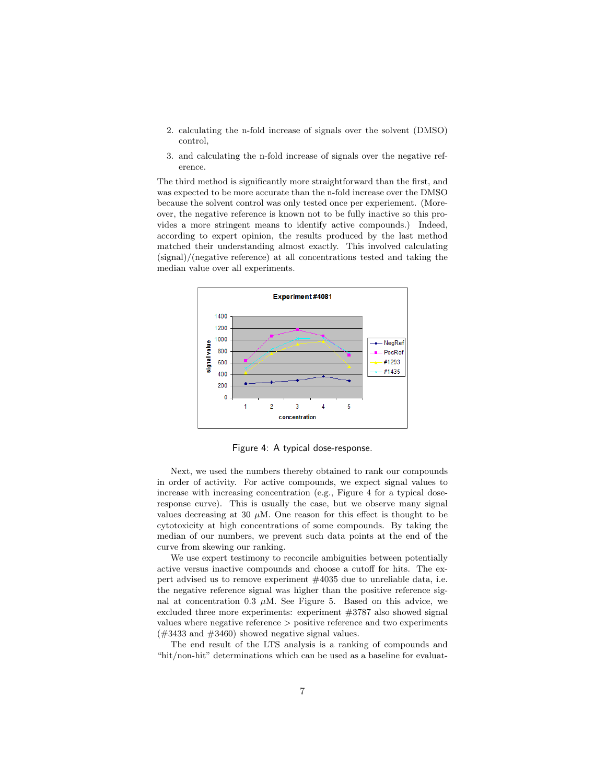- 2. calculating the n-fold increase of signals over the solvent (DMSO) control,
- 3. and calculating the n-fold increase of signals over the negative reference.

The third method is significantly more straightforward than the first, and was expected to be more accurate than the n-fold increase over the DMSO because the solvent control was only tested once per experiement. (Moreover, the negative reference is known not to be fully inactive so this provides a more stringent means to identify active compounds.) Indeed, according to expert opinion, the results produced by the last method matched their understanding almost exactly. This involved calculating (signal)/(negative reference) at all concentrations tested and taking the median value over all experiments.



Figure 4: A typical dose-response.

Next, we used the numbers thereby obtained to rank our compounds in order of activity. For active compounds, we expect signal values to increase with increasing concentration (e.g., Figure 4 for a typical doseresponse curve). This is usually the case, but we observe many signal values decreasing at 30  $\mu$ M. One reason for this effect is thought to be cytotoxicity at high concentrations of some compounds. By taking the median of our numbers, we prevent such data points at the end of the curve from skewing our ranking.

We use expert testimony to reconcile ambiguities between potentially active versus inactive compounds and choose a cutoff for hits. The expert advised us to remove experiment #4035 due to unreliable data, i.e. the negative reference signal was higher than the positive reference signal at concentration 0.3  $\mu$ M. See Figure 5. Based on this advice, we excluded three more experiments: experiment  $\#3787$  also showed signal values where negative reference > positive reference and two experiments  $(\#3433 \text{ and } \#3460)$  showed negative signal values.

The end result of the LTS analysis is a ranking of compounds and "hit/non-hit" determinations which can be used as a baseline for evaluat-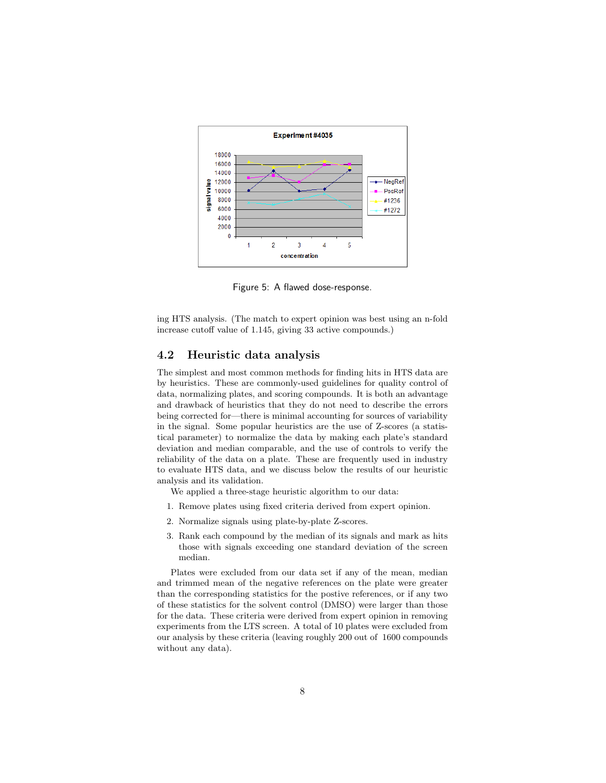

Figure 5: A flawed dose-response.

ing HTS analysis. (The match to expert opinion was best using an n-fold increase cutoff value of 1.145, giving 33 active compounds.)

## 4.2 Heuristic data analysis

The simplest and most common methods for finding hits in HTS data are by heuristics. These are commonly-used guidelines for quality control of data, normalizing plates, and scoring compounds. It is both an advantage and drawback of heuristics that they do not need to describe the errors being corrected for—there is minimal accounting for sources of variability in the signal. Some popular heuristics are the use of Z-scores (a statistical parameter) to normalize the data by making each plate's standard deviation and median comparable, and the use of controls to verify the reliability of the data on a plate. These are frequently used in industry to evaluate HTS data, and we discuss below the results of our heuristic analysis and its validation.

We applied a three-stage heuristic algorithm to our data:

- 1. Remove plates using fixed criteria derived from expert opinion.
- 2. Normalize signals using plate-by-plate Z-scores.
- 3. Rank each compound by the median of its signals and mark as hits those with signals exceeding one standard deviation of the screen median.

Plates were excluded from our data set if any of the mean, median and trimmed mean of the negative references on the plate were greater than the corresponding statistics for the postive references, or if any two of these statistics for the solvent control (DMSO) were larger than those for the data. These criteria were derived from expert opinion in removing experiments from the LTS screen. A total of 10 plates were excluded from our analysis by these criteria (leaving roughly 200 out of 1600 compounds without any data).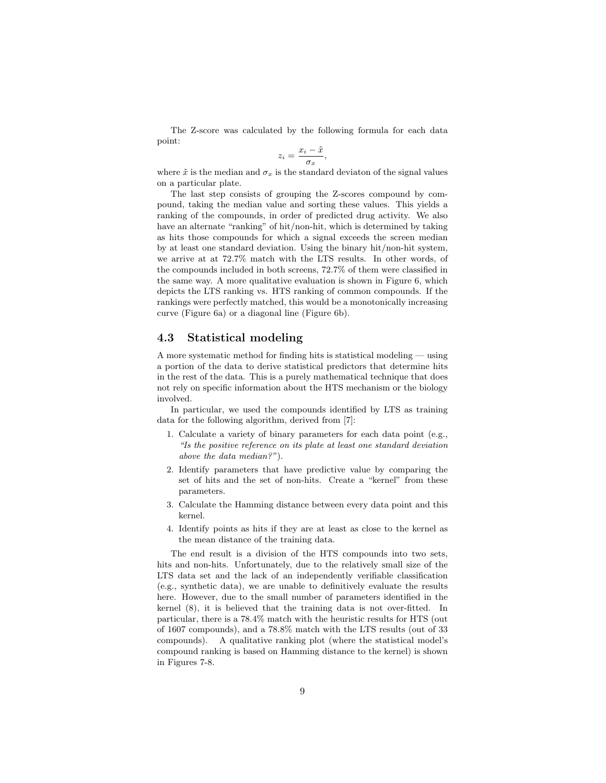The Z-score was calculated by the following formula for each data point:

$$
z_i = \frac{x_i - \tilde{x}}{\sigma_x},
$$

where  $\tilde{x}$  is the median and  $\sigma_x$  is the standard deviaton of the signal values on a particular plate.

The last step consists of grouping the Z-scores compound by compound, taking the median value and sorting these values. This yields a ranking of the compounds, in order of predicted drug activity. We also have an alternate "ranking" of hit/non-hit, which is determined by taking as hits those compounds for which a signal exceeds the screen median by at least one standard deviation. Using the binary hit/non-hit system, we arrive at at 72.7% match with the LTS results. In other words, of the compounds included in both screens, 72.7% of them were classified in the same way. A more qualitative evaluation is shown in Figure 6, which depicts the LTS ranking vs. HTS ranking of common compounds. If the rankings were perfectly matched, this would be a monotonically increasing curve (Figure 6a) or a diagonal line (Figure 6b).

## 4.3 Statistical modeling

A more systematic method for finding hits is statistical modeling — using a portion of the data to derive statistical predictors that determine hits in the rest of the data. This is a purely mathematical technique that does not rely on specific information about the HTS mechanism or the biology involved.

In particular, we used the compounds identified by LTS as training data for the following algorithm, derived from [7]:

- 1. Calculate a variety of binary parameters for each data point (e.g., "Is the positive reference on its plate at least one standard deviation above the data median?").
- 2. Identify parameters that have predictive value by comparing the set of hits and the set of non-hits. Create a "kernel" from these parameters.
- 3. Calculate the Hamming distance between every data point and this kernel.
- 4. Identify points as hits if they are at least as close to the kernel as the mean distance of the training data.

The end result is a division of the HTS compounds into two sets, hits and non-hits. Unfortunately, due to the relatively small size of the LTS data set and the lack of an independently verifiable classification (e.g., synthetic data), we are unable to definitively evaluate the results here. However, due to the small number of parameters identified in the kernel (8), it is believed that the training data is not over-fitted. In particular, there is a 78.4% match with the heuristic results for HTS (out of 1607 compounds), and a 78.8% match with the LTS results (out of 33 compounds). A qualitative ranking plot (where the statistical model's compound ranking is based on Hamming distance to the kernel) is shown in Figures 7-8.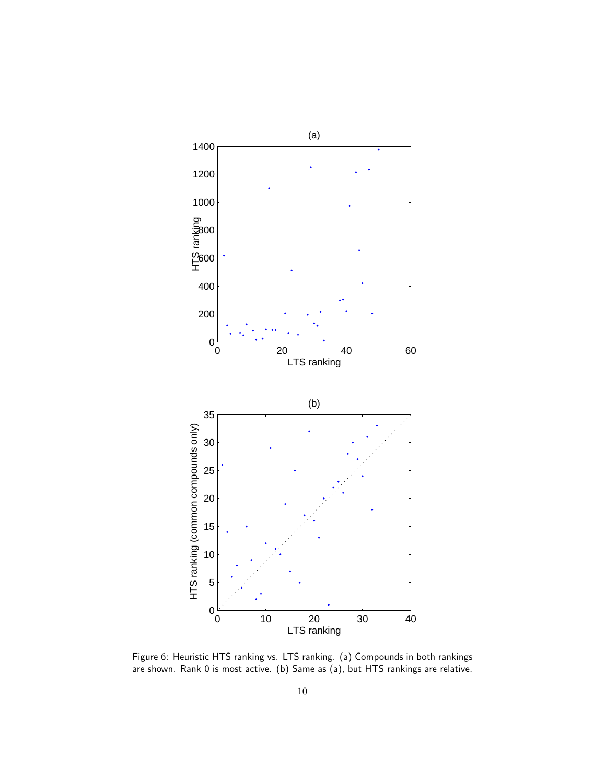

Figure 6: Heuristic HTS ranking vs. LTS ranking. (a) Compounds in both rankings are shown. Rank 0 is most active. (b) Same as (a), but HTS rankings are relative.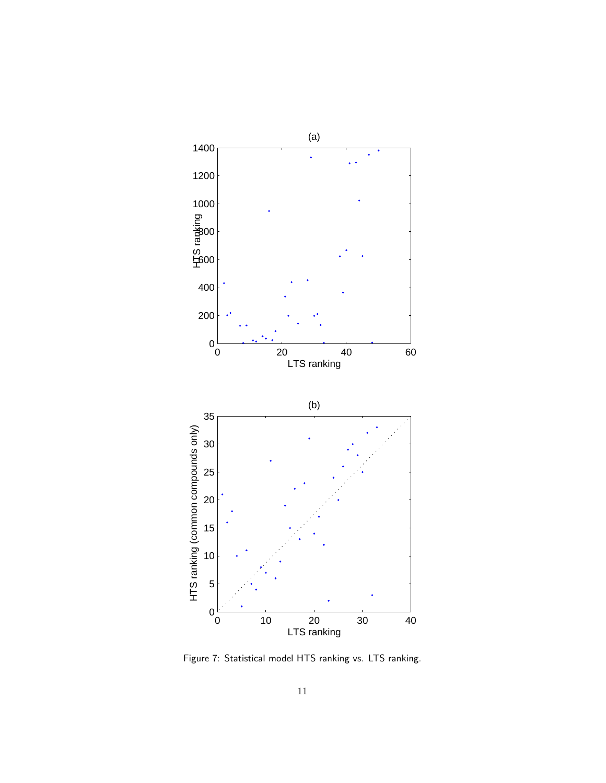

Figure 7: Statistical model HTS ranking vs. LTS ranking.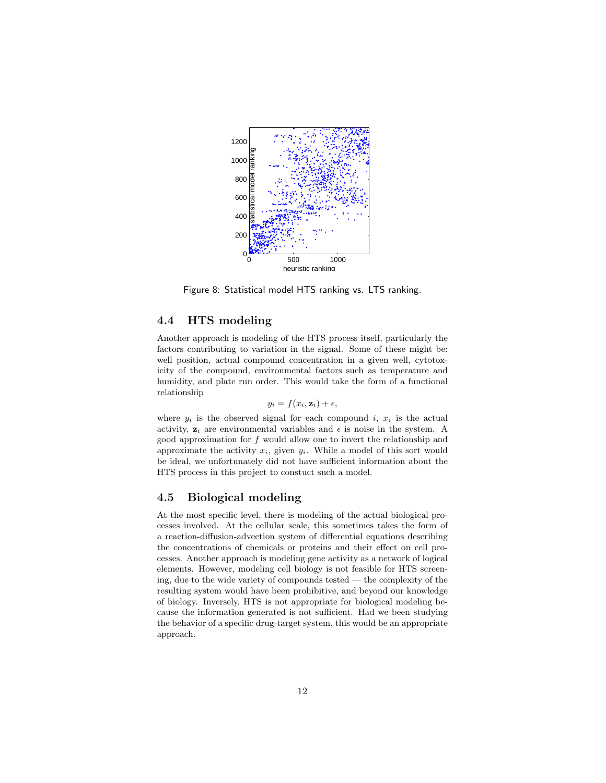

Figure 8: Statistical model HTS ranking vs. LTS ranking.

## 4.4 HTS modeling

Another approach is modeling of the HTS process itself, particularly the factors contributing to variation in the signal. Some of these might be: well position, actual compound concentration in a given well, cytotoxicity of the compound, environmental factors such as temperature and humidity, and plate run order. This would take the form of a functional relationship

$$
y_i = f(x_i, \mathbf{z}_i) + \epsilon,
$$

where  $y_i$  is the observed signal for each compound i,  $x_i$  is the actual activity,  $z_i$  are environmental variables and  $\epsilon$  is noise in the system. A good approximation for  $f$  would allow one to invert the relationship and approximate the activity  $x_i$ , given  $y_i$ . While a model of this sort would be ideal, we unfortunately did not have sufficient information about the HTS process in this project to constuct such a model.

#### 4.5 Biological modeling

At the most specific level, there is modeling of the actual biological processes involved. At the cellular scale, this sometimes takes the form of a reaction-diffusion-advection system of differential equations describing the concentrations of chemicals or proteins and their effect on cell processes. Another approach is modeling gene activity as a network of logical elements. However, modeling cell biology is not feasible for HTS screening, due to the wide variety of compounds tested — the complexity of the resulting system would have been prohibitive, and beyond our knowledge of biology. Inversely, HTS is not appropriate for biological modeling because the information generated is not sufficient. Had we been studying the behavior of a specific drug-target system, this would be an appropriate approach.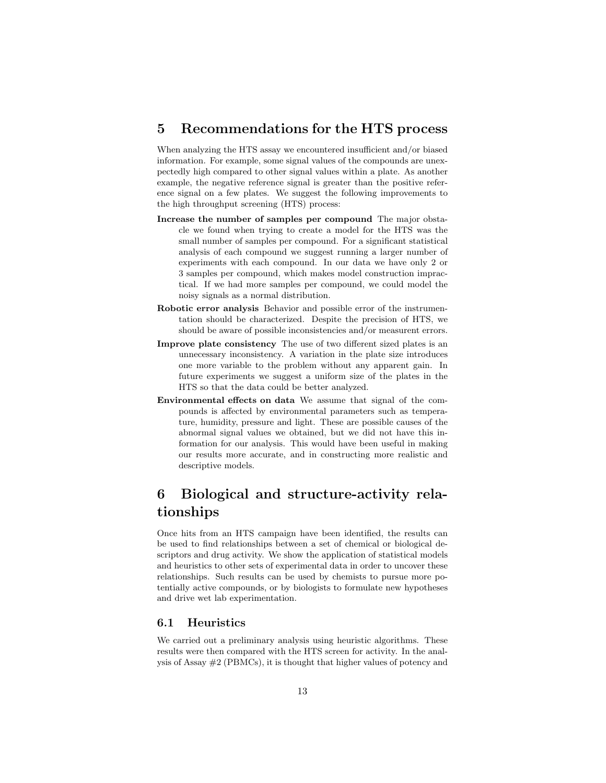# 5 Recommendations for the HTS process

When analyzing the HTS assay we encountered insufficient and/or biased information. For example, some signal values of the compounds are unexpectedly high compared to other signal values within a plate. As another example, the negative reference signal is greater than the positive reference signal on a few plates. We suggest the following improvements to the high throughput screening (HTS) process:

- Increase the number of samples per compound The major obstacle we found when trying to create a model for the HTS was the small number of samples per compound. For a significant statistical analysis of each compound we suggest running a larger number of experiments with each compound. In our data we have only 2 or 3 samples per compound, which makes model construction impractical. If we had more samples per compound, we could model the noisy signals as a normal distribution.
- Robotic error analysis Behavior and possible error of the instrumentation should be characterized. Despite the precision of HTS, we should be aware of possible inconsistencies and/or measurent errors.
- Improve plate consistency The use of two different sized plates is an unnecessary inconsistency. A variation in the plate size introduces one more variable to the problem without any apparent gain. In future experiments we suggest a uniform size of the plates in the HTS so that the data could be better analyzed.
- Environmental effects on data We assume that signal of the compounds is affected by environmental parameters such as temperature, humidity, pressure and light. These are possible causes of the abnormal signal values we obtained, but we did not have this information for our analysis. This would have been useful in making our results more accurate, and in constructing more realistic and descriptive models.

# 6 Biological and structure-activity relationships

Once hits from an HTS campaign have been identified, the results can be used to find relationships between a set of chemical or biological descriptors and drug activity. We show the application of statistical models and heuristics to other sets of experimental data in order to uncover these relationships. Such results can be used by chemists to pursue more potentially active compounds, or by biologists to formulate new hypotheses and drive wet lab experimentation.

#### 6.1 Heuristics

We carried out a preliminary analysis using heuristic algorithms. These results were then compared with the HTS screen for activity. In the analysis of Assay #2 (PBMCs), it is thought that higher values of potency and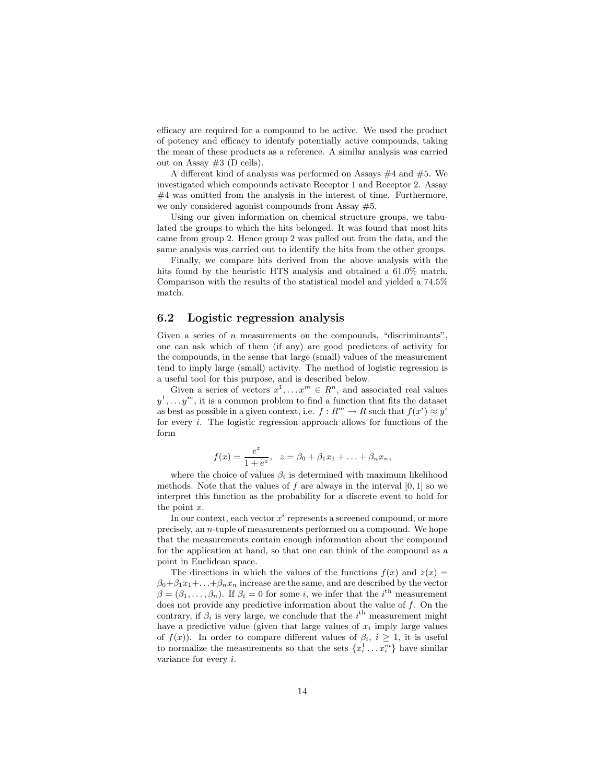efficacy are required for a compound to be active. We used the product of potency and efficacy to identify potentially active compounds, taking the mean of these products as a reference. A similar analysis was carried out on Assay #3 (D cells).

A different kind of analysis was performed on Assays #4 and #5. We investigated which compounds activate Receptor 1 and Receptor 2. Assay #4 was omitted from the analysis in the interest of time. Furthermore, we only considered agonist compounds from Assay #5.

Using our given information on chemical structure groups, we tabulated the groups to which the hits belonged. It was found that most hits came from group 2. Hence group 2 was pulled out from the data, and the same analysis was carried out to identify the hits from the other groups.

Finally, we compare hits derived from the above analysis with the hits found by the heuristic HTS analysis and obtained a 61.0% match. Comparison with the results of the statistical model and yielded a 74.5% match.

## 6.2 Logistic regression analysis

Given a series of  $n$  measurements on the compounds, "discriminants", one can ask which of them (if any) are good predictors of activity for the compounds, in the sense that large (small) values of the measurement tend to imply large (small) activity. The method of logistic regression is a useful tool for this purpose, and is described below.

Given a series of vectors  $x^1, \ldots, x^m \in \mathbb{R}^n$ , and associated real values  $y^1, \ldots y^m$ , it is a common problem to find a function that fits the dataset as best as possible in a given context, i.e.  $f: R^m \to R$  such that  $f(x^i) \approx y^i$ for every  $i$ . The logistic regression approach allows for functions of the form

$$
f(x) = \frac{e^z}{1 + e^z}, \ \ z = \beta_0 + \beta_1 x_1 + \ldots + \beta_n x_n,
$$

where the choice of values  $\beta_i$  is determined with maximum likelihood methods. Note that the values of f are always in the interval  $[0, 1]$  so we interpret this function as the probability for a discrete event to hold for the point  $x$ .

In our context, each vector  $x^i$  represents a screened compound, or more precisely, an n-tuple of measurements performed on a compound. We hope that the measurements contain enough information about the compound for the application at hand, so that one can think of the compound as a point in Euclidean space.

The directions in which the values of the functions  $f(x)$  and  $z(x) =$  $\beta_0 + \beta_1 x_1 + \ldots + \beta_n x_n$  increase are the same, and are described by the vector  $\beta = (\beta_1, \ldots, \beta_n)$ . If  $\beta_i = 0$  for some *i*, we infer that the *i*<sup>th</sup> measurement does not provide any predictive information about the value of  $f$ . On the contrary, if  $\beta_i$  is very large, we conclude that the  $i^{\text{th}}$  measurement might have a predictive value (given that large values of  $x_i$  imply large values of  $f(x)$ ). In order to compare different values of  $\beta_i$ ,  $i \geq 1$ , it is useful to normalize the measurements so that the sets  $\{x_i^1 \dots x_i^m\}$  have similar variance for every i.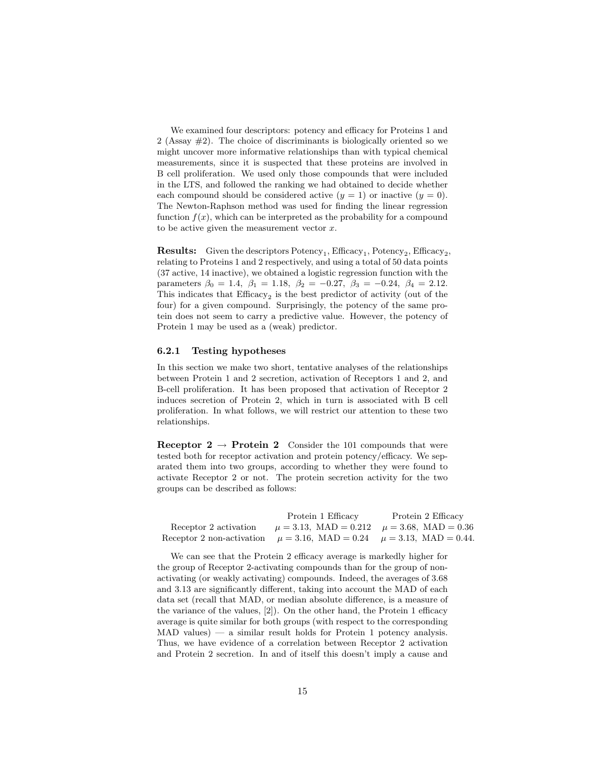We examined four descriptors: potency and efficacy for Proteins 1 and 2 (Assay #2). The choice of discriminants is biologically oriented so we might uncover more informative relationships than with typical chemical measurements, since it is suspected that these proteins are involved in B cell proliferation. We used only those compounds that were included in the LTS, and followed the ranking we had obtained to decide whether each compound should be considered active  $(y = 1)$  or inactive  $(y = 0)$ . The Newton-Raphson method was used for finding the linear regression function  $f(x)$ , which can be interpreted as the probability for a compound to be active given the measurement vector  $x$ .

**Results:** Given the descriptors  $\text{Potency}_1$ ,  $\text{Efficacy}_1$ ,  $\text{Potency}_2$ ,  $\text{Efficacy}_2$ , relating to Proteins 1 and 2 respectively, and using a total of 50 data points (37 active, 14 inactive), we obtained a logistic regression function with the parameters  $\beta_0 = 1.4$ ,  $\beta_1 = 1.18$ ,  $\beta_2 = -0.27$ ,  $\beta_3 = -0.24$ ,  $\beta_4 = 2.12$ . This indicates that  $Efficacy<sub>2</sub>$  is the best predictor of activity (out of the four) for a given compound. Surprisingly, the potency of the same protein does not seem to carry a predictive value. However, the potency of Protein 1 may be used as a (weak) predictor.

#### 6.2.1 Testing hypotheses

In this section we make two short, tentative analyses of the relationships between Protein 1 and 2 secretion, activation of Receptors 1 and 2, and B-cell proliferation. It has been proposed that activation of Receptor 2 induces secretion of Protein 2, which in turn is associated with B cell proliferation. In what follows, we will restrict our attention to these two relationships.

Receptor  $2 \rightarrow$  Protein 2 Consider the 101 compounds that were tested both for receptor activation and protein potency/efficacy. We separated them into two groups, according to whether they were found to activate Receptor 2 or not. The protein secretion activity for the two groups can be described as follows:

|                                                                                | Protein 1 Efficacy                                   | Protein 2 Efficacy |
|--------------------------------------------------------------------------------|------------------------------------------------------|--------------------|
| Receptor 2 activation                                                          | $\mu = 3.13$ , MAD = 0.212 $\mu = 3.68$ , MAD = 0.36 |                    |
| Receptor 2 non-activation $\mu = 3.16$ , MAD = 0.24 $\mu = 3.13$ , MAD = 0.44. |                                                      |                    |

We can see that the Protein 2 efficacy average is markedly higher for the group of Receptor 2-activating compounds than for the group of nonactivating (or weakly activating) compounds. Indeed, the averages of 3.68 and 3.13 are significantly different, taking into account the MAD of each data set (recall that MAD, or median absolute difference, is a measure of the variance of the values, [2]). On the other hand, the Protein 1 efficacy average is quite similar for both groups (with respect to the corresponding  $MAD$  values) — a similar result holds for Protein 1 potency analysis. Thus, we have evidence of a correlation between Receptor 2 activation and Protein 2 secretion. In and of itself this doesn't imply a cause and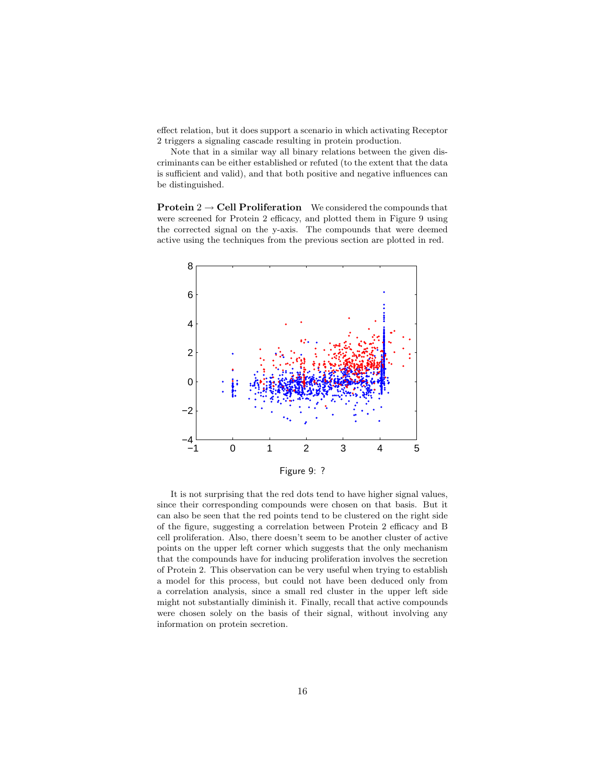effect relation, but it does support a scenario in which activating Receptor 2 triggers a signaling cascade resulting in protein production.

Note that in a similar way all binary relations between the given discriminants can be either established or refuted (to the extent that the data is sufficient and valid), and that both positive and negative influences can be distinguished.

**Protein 2**  $\rightarrow$  **Cell Proliferation** We considered the compounds that were screened for Protein 2 efficacy, and plotted them in Figure 9 using the corrected signal on the y-axis. The compounds that were deemed active using the techniques from the previous section are plotted in red.



It is not surprising that the red dots tend to have higher signal values, since their corresponding compounds were chosen on that basis. But it can also be seen that the red points tend to be clustered on the right side of the figure, suggesting a correlation between Protein 2 efficacy and B cell proliferation. Also, there doesn't seem to be another cluster of active points on the upper left corner which suggests that the only mechanism that the compounds have for inducing proliferation involves the secretion of Protein 2. This observation can be very useful when trying to establish a model for this process, but could not have been deduced only from a correlation analysis, since a small red cluster in the upper left side might not substantially diminish it. Finally, recall that active compounds were chosen solely on the basis of their signal, without involving any information on protein secretion.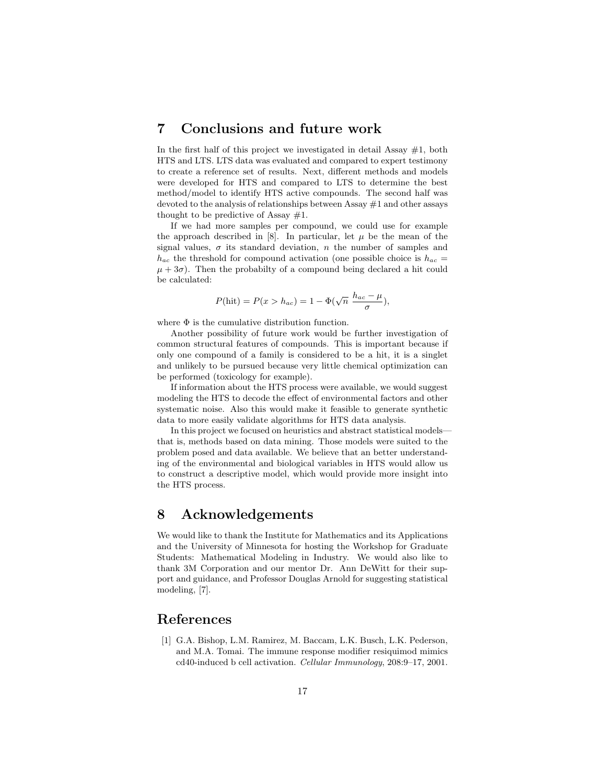# 7 Conclusions and future work

In the first half of this project we investigated in detail Assay  $#1$ , both HTS and LTS. LTS data was evaluated and compared to expert testimony to create a reference set of results. Next, different methods and models were developed for HTS and compared to LTS to determine the best method/model to identify HTS active compounds. The second half was devoted to the analysis of relationships between Assay #1 and other assays thought to be predictive of Assay  $#1$ .

If we had more samples per compound, we could use for example the approach described in [8]. In particular, let  $\mu$  be the mean of the signal values,  $\sigma$  its standard deviation, n the number of samples and  $h_{ac}$  the threshold for compound activation (one possible choice is  $h_{ac}$  =  $\mu + 3\sigma$ ). Then the probabilty of a compound being declared a hit could be calculated:

$$
P(\text{hit}) = P(x > h_{ac}) = 1 - \Phi(\sqrt{n} \frac{h_{ac} - \mu}{\sigma}),
$$

where  $\Phi$  is the cumulative distribution function.

Another possibility of future work would be further investigation of common structural features of compounds. This is important because if only one compound of a family is considered to be a hit, it is a singlet and unlikely to be pursued because very little chemical optimization can be performed (toxicology for example).

If information about the HTS process were available, we would suggest modeling the HTS to decode the effect of environmental factors and other systematic noise. Also this would make it feasible to generate synthetic data to more easily validate algorithms for HTS data analysis.

In this project we focused on heuristics and abstract statistical models that is, methods based on data mining. Those models were suited to the problem posed and data available. We believe that an better understanding of the environmental and biological variables in HTS would allow us to construct a descriptive model, which would provide more insight into the HTS process.

# 8 Acknowledgements

We would like to thank the Institute for Mathematics and its Applications and the University of Minnesota for hosting the Workshop for Graduate Students: Mathematical Modeling in Industry. We would also like to thank 3M Corporation and our mentor Dr. Ann DeWitt for their support and guidance, and Professor Douglas Arnold for suggesting statistical modeling, [7].

# References

[1] G.A. Bishop, L.M. Ramirez, M. Baccam, L.K. Busch, L.K. Pederson, and M.A. Tomai. The immune response modifier resiquimod mimics cd40-induced b cell activation. Cellular Immunology, 208:9–17, 2001.